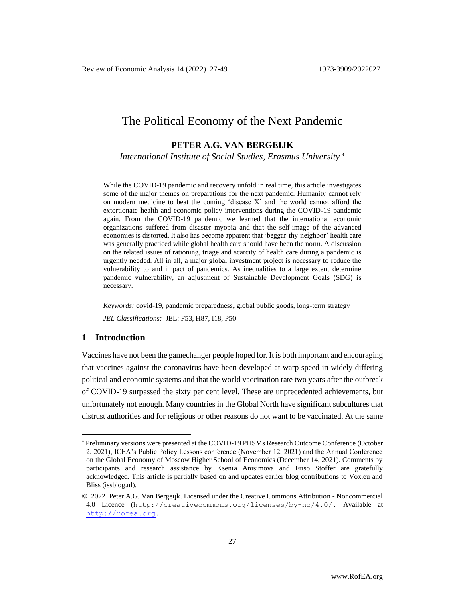# The Political Economy of the Next Pandemic

### **PETER A.G. VAN BERGEIJK**

*International Institute of Social Studies, Erasmus University*

While the COVID-19 pandemic and recovery unfold in real time, this article investigates some of the major themes on preparations for the next pandemic. Humanity cannot rely on modern medicine to beat the coming 'disease X' and the world cannot afford the extortionate health and economic policy interventions during the COVID-19 pandemic again. From the COVID-19 pandemic we learned that the international economic organizations suffered from disaster myopia and that the self-image of the advanced economies is distorted. It also has become apparent that 'beggar-thy-neighbor' health care was generally practiced while global health care should have been the norm. A discussion on the related issues of rationing, triage and scarcity of health care during a pandemic is urgently needed. All in all, a major global investment project is necessary to reduce the vulnerability to and impact of pandemics. As inequalities to a large extent determine pandemic vulnerability, an adjustment of Sustainable Development Goals (SDG) is necessary.

*Keywords:* covid-19, pandemic preparedness, global public goods, long-term strategy *JEL Classifications:* JEL: F53, H87, I18, P50

### **1 Introduction**

Vaccines have not been the gamechanger people hoped for. It is both important and encouraging that vaccines against the coronavirus have been developed at warp speed in widely differing political and economic systems and that the world vaccination rate two years after the outbreak of COVID-19 surpassed the sixty per cent level. These are unprecedented achievements, but unfortunately not enough. Many countries in the Global North have significant subcultures that distrust authorities and for religious or other reasons do not want to be vaccinated. At the same

Preliminary versions were presented at the COVID-19 PHSMs Research Outcome Conference (October 2, 2021), ICEA's Public Policy Lessons conference (November 12, 2021) and the Annual Conference on the Global Economy of Moscow Higher School of Economics (December 14, 2021). Comments by participants and research assistance by Ksenia Anisimova and Friso Stoffer are gratefully acknowledged. This article is partially based on and updates earlier blog contributions to Vox.eu and Bliss (issblog.nl).

<sup>© 2022</sup> Peter A.G. Van Bergeijk. Licensed under the Creative Commons Attribution - Noncommercial 4.0 Licence (http://creativecommons.org/licenses/by-nc/4.0/. Available at [http://rofea.org.](http://rofea.org/)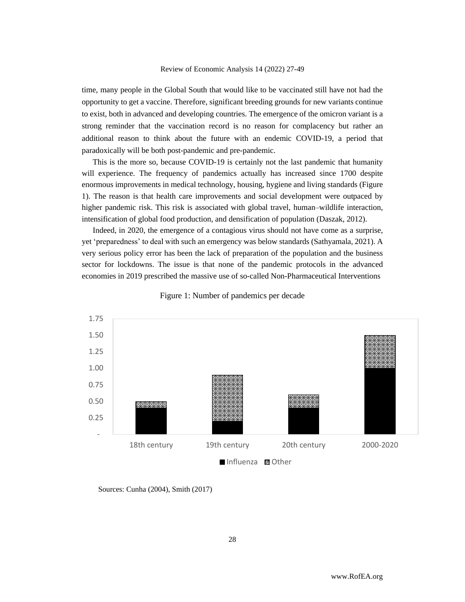time, many people in the Global South that would like to be vaccinated still have not had the opportunity to get a vaccine. Therefore, significant breeding grounds for new variants continue to exist, both in advanced and developing countries. The emergence of the omicron variant is a strong reminder that the vaccination record is no reason for complacency but rather an additional reason to think about the future with an endemic COVID-19, a period that paradoxically will be both post-pandemic and pre-pandemic.

This is the more so, because COVID-19 is certainly not the last pandemic that humanity will experience. The frequency of pandemics actually has increased since 1700 despite enormous improvements in medical technology, housing, hygiene and living standards (Figure 1). The reason is that health care improvements and social development were outpaced by higher pandemic risk. This risk is associated with global travel, human–wildlife interaction, intensification of global food production, and densification of population (Daszak, 2012).

Indeed, in 2020, the emergence of a contagious virus should not have come as a surprise, yet 'preparedness' to deal with such an emergency was below standards (Sathyamala, 2021). A very serious policy error has been the lack of preparation of the population and the business sector for lockdowns. The issue is that none of the pandemic protocols in the advanced economies in 2019 prescribed the massive use of so-called Non-Pharmaceutical Interventions



Figure 1: Number of pandemics per decade

Sources: Cunha (2004), Smith (2017)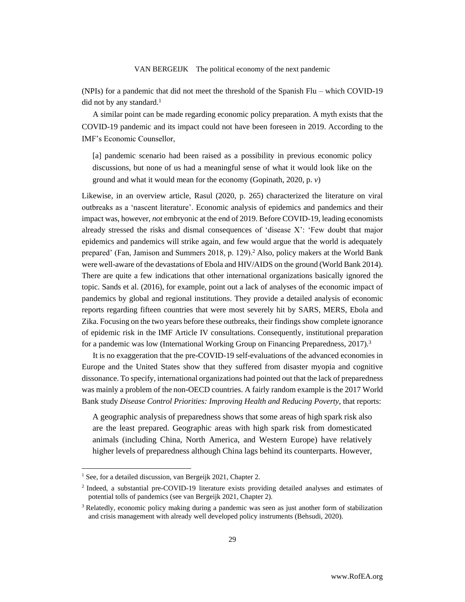(NPIs) for a pandemic that did not meet the threshold of the Spanish Flu – which COVID-19 did not by any standard. $<sup>1</sup>$ </sup>

A similar point can be made regarding economic policy preparation. A myth exists that the COVID-19 pandemic and its impact could not have been foreseen in 2019. According to the IMF's Economic Counsellor,

[a] pandemic scenario had been raised as a possibility in previous economic policy discussions, but none of us had a meaningful sense of what it would look like on the ground and what it would mean for the economy (Gopinath, 2020, p. *v*)

Likewise, in an overview article, Rasul (2020, p. 265) characterized the literature on viral outbreaks as a 'nascent literature'. Economic analysis of epidemics and pandemics and their impact was, however, *not* embryonic at the end of 2019. Before COVID-19, leading economists already stressed the risks and dismal consequences of 'disease X': 'Few doubt that major epidemics and pandemics will strike again, and few would argue that the world is adequately prepared' (Fan, Jamison and Summers 2018, p. 129).<sup>2</sup> Also, policy makers at the World Bank were well-aware of the devastations of Ebola and HIV/AIDS on the ground (World Bank 2014). There are quite a few indications that other international organizations basically ignored the topic. Sands et al. (2016), for example, point out a lack of analyses of the economic impact of pandemics by global and regional institutions. They provide a detailed analysis of economic reports regarding fifteen countries that were most severely hit by SARS, MERS, Ebola and Zika. Focusing on the two years before these outbreaks, their findings show complete ignorance of epidemic risk in the IMF Article IV consultations. Consequently, institutional preparation for a pandemic was low (International Working Group on Financing Preparedness,  $2017$ ).<sup>3</sup>

It is no exaggeration that the pre-COVID-19 self-evaluations of the advanced economies in Europe and the United States show that they suffered from disaster myopia and cognitive dissonance. To specify, international organizations had pointed out that the lack of preparedness was mainly a problem of the non-OECD countries. A fairly random example is the 2017 World Bank study *Disease Control Priorities: Improving Health and Reducing Poverty*, that reports:

A geographic analysis of preparedness shows that some areas of high spark risk also are the least prepared. Geographic areas with high spark risk from domesticated animals (including China, North America, and Western Europe) have relatively higher levels of preparedness although China lags behind its counterparts. However,

 $1$  See, for a detailed discussion, van Bergeijk 2021, Chapter 2.

<sup>&</sup>lt;sup>2</sup> Indeed, a substantial pre-COVID-19 literature exists providing detailed analyses and estimates of potential tolls of pandemics (see van Bergeijk 2021, Chapter 2).

<sup>3</sup> Relatedly, economic policy making during a pandemic was seen as just another form of stabilization and crisis management with already well developed policy instruments (Behsudi, 2020).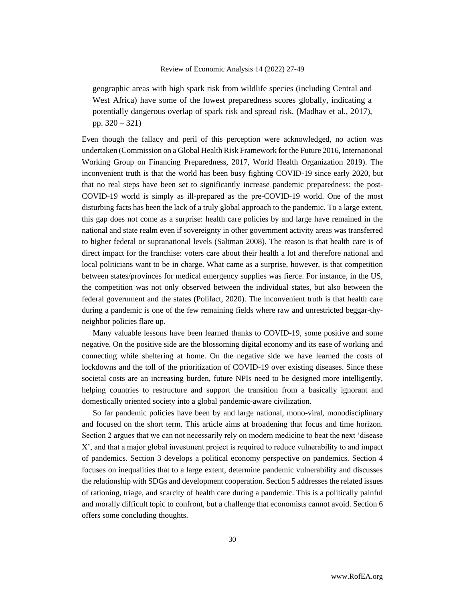geographic areas with high spark risk from wildlife species (including Central and West Africa) have some of the lowest preparedness scores globally, indicating a potentially dangerous overlap of spark risk and spread risk. (Madhav et al., 2017), pp. 320 – 321)

Even though the fallacy and peril of this perception were acknowledged, no action was undertaken (Commission on a Global Health Risk Framework for the Future 2016, International Working Group on Financing Preparedness, 2017, World Health Organization 2019). The inconvenient truth is that the world has been busy fighting COVID-19 since early 2020, but that no real steps have been set to significantly increase pandemic preparedness: the post-COVID-19 world is simply as ill-prepared as the pre-COVID-19 world. One of the most disturbing facts has been the lack of a truly global approach to the pandemic. To a large extent, this gap does not come as a surprise: health care policies by and large have remained in the national and state realm even if sovereignty in other government activity areas was transferred to higher federal or supranational levels (Saltman 2008). The reason is that health care is of direct impact for the franchise: voters care about their health a lot and therefore national and local politicians want to be in charge. What came as a surprise, however, is that competition between states/provinces for medical emergency supplies was fierce. For instance, in the US, the competition was not only observed between the individual states, but also between the federal government and the states (Polifact, 2020). The inconvenient truth is that health care during a pandemic is one of the few remaining fields where raw and unrestricted beggar-thyneighbor policies flare up.

Many valuable lessons have been learned thanks to COVID-19, some positive and some negative. On the positive side are the blossoming digital economy and its ease of working and connecting while sheltering at home. On the negative side we have learned the costs of lockdowns and the toll of the prioritization of COVID-19 over existing diseases. Since these societal costs are an increasing burden, future NPIs need to be designed more intelligently, helping countries to restructure and support the transition from a basically ignorant and domestically oriented society into a global pandemic-aware civilization.

So far pandemic policies have been by and large national, mono-viral, monodisciplinary and focused on the short term. This article aims at broadening that focus and time horizon. Section 2 argues that we can not necessarily rely on modern medicine to beat the next 'disease X', and that a major global investment project is required to reduce vulnerability to and impact of pandemics. Section 3 develops a political economy perspective on pandemics. Section 4 focuses on inequalities that to a large extent, determine pandemic vulnerability and discusses the relationship with SDGs and development cooperation. Section 5 addresses the related issues of rationing, triage, and scarcity of health care during a pandemic. This is a politically painful and morally difficult topic to confront, but a challenge that economists cannot avoid. Section 6 offers some concluding thoughts.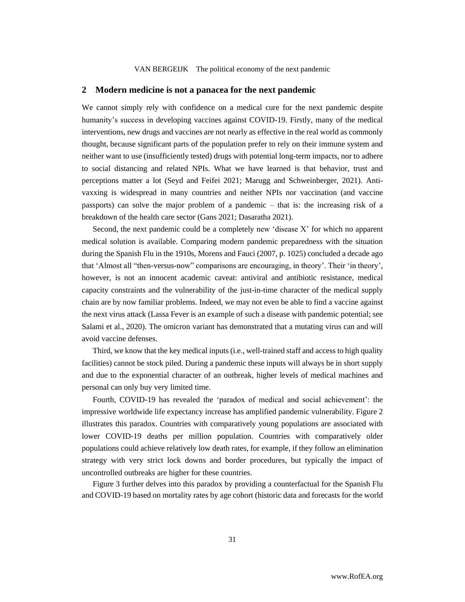#### **2 Modern medicine is not a panacea for the next pandemic**

We cannot simply rely with confidence on a medical cure for the next pandemic despite humanity's success in developing vaccines against COVID-19. Firstly, many of the medical interventions, new drugs and vaccines are not nearly as effective in the real world as commonly thought, because significant parts of the population prefer to rely on their immune system and neither want to use (insufficiently tested) drugs with potential long-term impacts, nor to adhere to social distancing and related NPIs. What we have learned is that behavior, trust and perceptions matter a lot (Seyd and Feifei 2021; Marugg and Schweinberger, 2021). Antivaxxing is widespread in many countries and neither NPIs nor vaccination (and vaccine passports) can solve the major problem of a pandemic – that is: the increasing risk of a breakdown of the health care sector (Gans 2021; Dasaratha 2021).

Second, the next pandemic could be a completely new 'disease X' for which no apparent medical solution is available. Comparing modern pandemic preparedness with the situation during the Spanish Flu in the 1910s, Morens and Fauci (2007, p. 1025) concluded a decade ago that 'Almost all "then-versus-now" comparisons are encouraging, in theory'. Their 'in theory', however, is not an innocent academic caveat: antiviral and antibiotic resistance, medical capacity constraints and the vulnerability of the just-in-time character of the medical supply chain are by now familiar problems. Indeed, we may not even be able to find a vaccine against the next virus attack (Lassa Fever is an example of such a disease with pandemic potential; see Salami et al., 2020). The omicron variant has demonstrated that a mutating virus can and will avoid vaccine defenses.

Third, we know that the key medical inputs (i.e., well-trained staff and access to high quality facilities) cannot be stock piled. During a pandemic these inputs will always be in short supply and due to the exponential character of an outbreak, higher levels of medical machines and personal can only buy very limited time.

Fourth, COVID-19 has revealed the 'paradox of medical and social achievement': the impressive worldwide life expectancy increase has amplified pandemic vulnerability. Figure 2 illustrates this paradox. Countries with comparatively young populations are associated with lower COVID-19 deaths per million population. Countries with comparatively older populations could achieve relatively low death rates, for example, if they follow an elimination strategy with very strict lock downs and border procedures, but typically the impact of uncontrolled outbreaks are higher for these countries.

Figure 3 further delves into this paradox by providing a counterfactual for the Spanish Flu and COVID-19 based on mortality rates by age cohort (historic data and forecasts for the world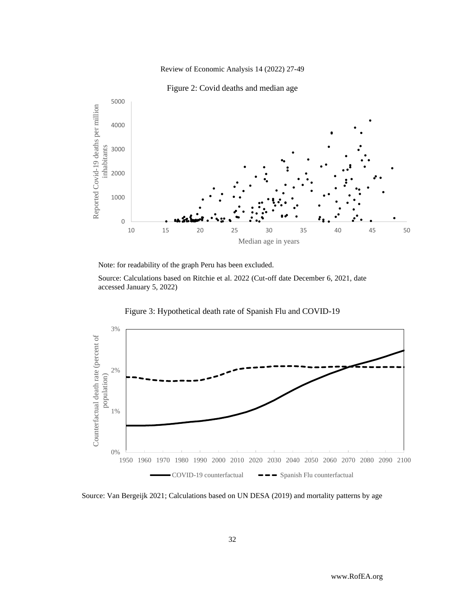

Figure 2: Covid deaths and median age



Note: for readability of the graph Peru has been excluded.

Source: Calculations based on Ritchie et al. 2022 (Cut-off date December 6, 2021, date accessed January 5, 2022)



Figure 3: Hypothetical death rate of Spanish Flu and COVID-19

Source: Van Bergeijk 2021; Calculations based on UN DESA (2019) and mortality patterns by age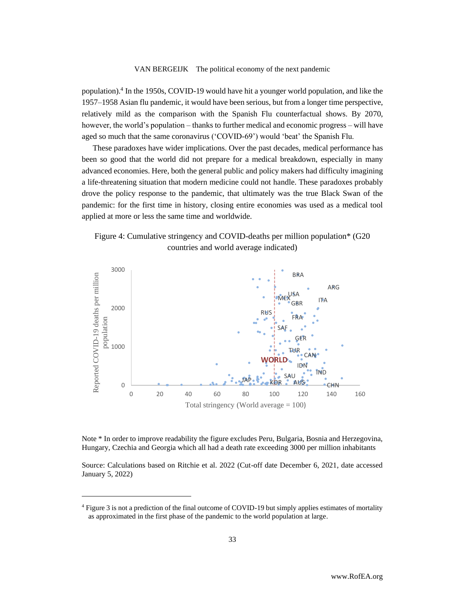population).<sup>4</sup> In the 1950s, COVID-19 would have hit a younger world population, and like the 1957–1958 Asian flu pandemic, it would have been serious, but from a longer time perspective, relatively mild as the comparison with the Spanish Flu counterfactual shows. By 2070, however, the world's population – thanks to further medical and economic progress – will have aged so much that the same coronavirus ('COVID-69') would 'beat' the Spanish Flu.

These paradoxes have wider implications. Over the past decades, medical performance has been so good that the world did not prepare for a medical breakdown, especially in many advanced economies. Here, both the general public and policy makers had difficulty imagining a life-threatening situation that modern medicine could not handle. These paradoxes probably drove the policy response to the pandemic, that ultimately was the true Black Swan of the pandemic: for the first time in history, closing entire economies was used as a medical tool applied at more or less the same time and worldwide.





Note \* In order to improve readability the figure excludes Peru, Bulgaria, Bosnia and Herzegovina, Hungary, Czechia and Georgia which all had a death rate exceeding 3000 per million inhabitants

Source: Calculations based on Ritchie et al. 2022 (Cut-off date December 6, 2021, date accessed January 5, 2022)

<sup>4</sup> Figure 3 is not a prediction of the final outcome of COVID-19 but simply applies estimates of mortality as approximated in the first phase of the pandemic to the world population at large.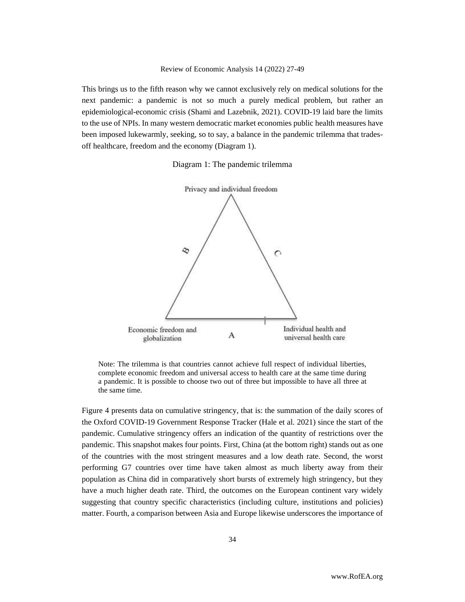This brings us to the fifth reason why we cannot exclusively rely on medical solutions for the next pandemic: a pandemic is not so much a purely medical problem, but rather an epidemiological-economic crisis (Shami and Lazebnik, 2021). COVID-19 laid bare the limits to the use of NPIs. In many western democratic market economies public health measures have been imposed lukewarmly, seeking, so to say, a balance in the pandemic trilemma that tradesoff healthcare, freedom and the economy (Diagram 1).

Diagram 1: The pandemic trilemma



Note: The trilemma is that countries cannot achieve full respect of individual liberties, complete economic freedom and universal access to health care at the same time during a pandemic. It is possible to choose two out of three but impossible to have all three at the same time.

Figure 4 presents data on cumulative stringency, that is: the summation of the daily scores of the Oxford COVID-19 Government Response Tracker (Hale et al. 2021) since the start of the pandemic. Cumulative stringency offers an indication of the quantity of restrictions over the pandemic. This snapshot makes four points. First, China (at the bottom right) stands out as one of the countries with the most stringent measures and a low death rate. Second, the worst performing G7 countries over time have taken almost as much liberty away from their population as China did in comparatively short bursts of extremely high stringency, but they have a much higher death rate. Third, the outcomes on the European continent vary widely suggesting that country specific characteristics (including culture, institutions and policies) matter. Fourth, a comparison between Asia and Europe likewise underscores the importance of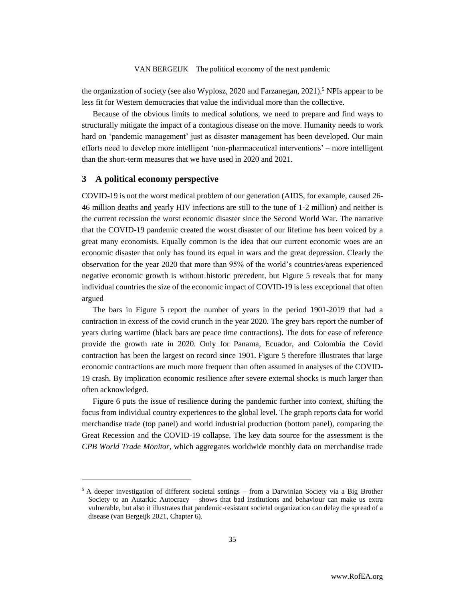the organization of society (see also Wyplosz, 2020 and Farzanegan, 2021).<sup>5</sup> NPIs appear to be less fit for Western democracies that value the individual more than the collective.

Because of the obvious limits to medical solutions, we need to prepare and find ways to structurally mitigate the impact of a contagious disease on the move. Humanity needs to work hard on 'pandemic management' just as disaster management has been developed. Our main efforts need to develop more intelligent 'non-pharmaceutical interventions' – more intelligent than the short-term measures that we have used in 2020 and 2021.

### **3 A political economy perspective**

COVID-19 is not the worst medical problem of our generation (AIDS, for example, caused 26- 46 million deaths and yearly HIV infections are still to the tune of 1-2 million) and neither is the current recession the worst economic disaster since the Second World War. The narrative that the COVID-19 pandemic created the worst disaster of our lifetime has been voiced by a great many economists. Equally common is the idea that our current economic woes are an economic disaster that only has found its equal in wars and the great depression. Clearly the observation for the year 2020 that more than 95% of the world's countries/areas experienced negative economic growth is without historic precedent, but Figure 5 reveals that for many individual countries the size of the economic impact of COVID-19 is less exceptional that often argued

The bars in Figure 5 report the number of years in the period 1901-2019 that had a contraction in excess of the covid crunch in the year 2020. The grey bars report the number of years during wartime (black bars are peace time contractions). The dots for ease of reference provide the growth rate in 2020. Only for Panama, Ecuador, and Colombia the Covid contraction has been the largest on record since 1901. Figure 5 therefore illustrates that large economic contractions are much more frequent than often assumed in analyses of the COVID-19 crash. By implication economic resilience after severe external shocks is much larger than often acknowledged.

Figure 6 puts the issue of resilience during the pandemic further into context, shifting the focus from individual country experiences to the global level. The graph reports data for world merchandise trade (top panel) and world industrial production (bottom panel), comparing the Great Recession and the COVID-19 collapse. The key data source for the assessment is the *CPB World Trade Monitor*, which aggregates worldwide monthly data on merchandise trade

 $5$  A deeper investigation of different societal settings – from a Darwinian Society via a Big Brother Society to an Autarkic Autocracy – shows that bad institutions and behaviour can make us extra vulnerable, but also it illustrates that pandemic-resistant societal organization can delay the spread of a disease (van Bergeijk 2021, Chapter 6).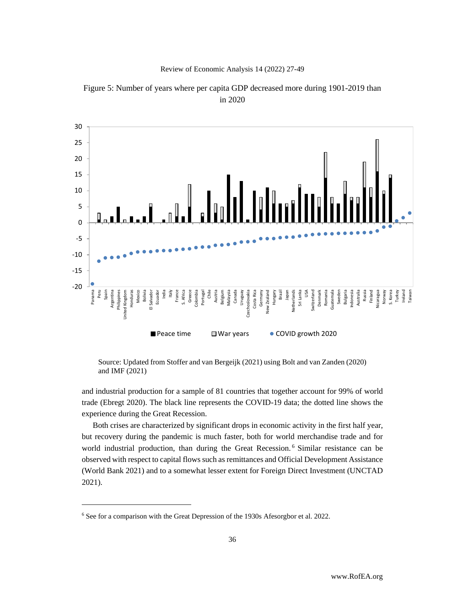



Figure 5: Number of years where per capita GDP decreased more during 1901-2019 than in 2020

Source: Updated from Stoffer and van Bergeijk (2021) using Bolt and van Zanden (2020) and IMF (2021)

and industrial production for a sample of 81 countries that together account for 99% of world trade (Ebregt 2020). The black line represents the COVID-19 data; the dotted line shows the experience during the Great Recession.

Both crises are characterized by significant drops in economic activity in the first half year, but recovery during the pandemic is much faster, both for world merchandise trade and for world industrial production, than during the Great Recession. <sup>6</sup> Similar resistance can be observed with respect to capital flows such as remittances and Official Development Assistance (World Bank 2021) and to a somewhat lesser extent for Foreign Direct Investment (UNCTAD 2021).

<sup>6</sup> See for a comparison with the Great Depression of the 1930s Afesorgbor et al. 2022.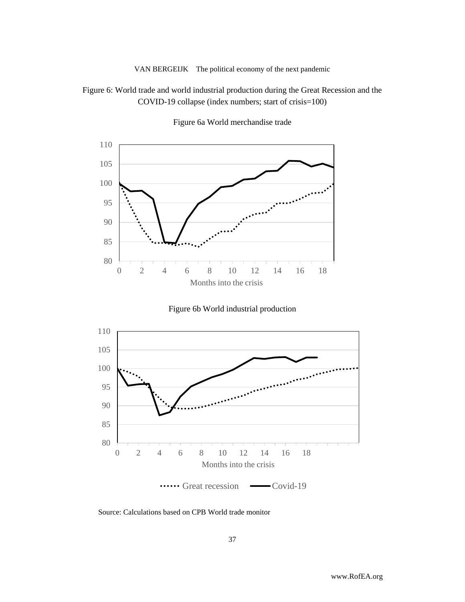## Figure 6: World trade and world industrial production during the Great Recession and the COVID-19 collapse (index numbers; start of crisis=100)



Figure 6a World merchandise trade





Source: Calculations based on CPB World trade monitor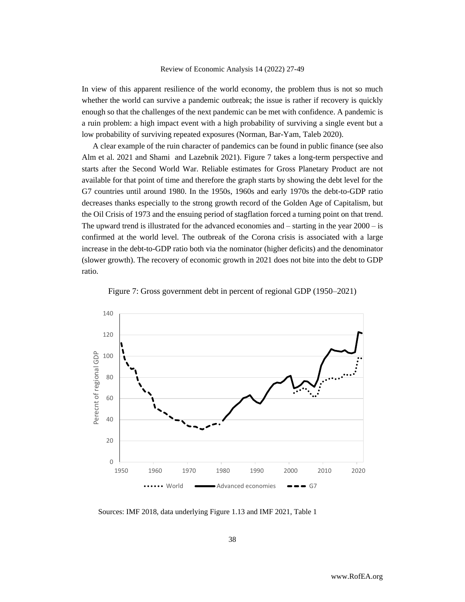In view of this apparent resilience of the world economy, the problem thus is not so much whether the world can survive a pandemic outbreak; the issue is rather if recovery is quickly enough so that the challenges of the next pandemic can be met with confidence. A pandemic is a ruin problem: a high impact event with a high probability of surviving a single event but a low probability of surviving repeated exposures (Norman, Bar-Yam, Taleb 2020).

A clear example of the ruin character of pandemics can be found in public finance (see also Alm et al. 2021 and Shami and Lazebnik 2021). Figure 7 takes a long-term perspective and starts after the Second World War. Reliable estimates for Gross Planetary Product are not available for that point of time and therefore the graph starts by showing the debt level for the G7 countries until around 1980. In the 1950s, 1960s and early 1970s the debt-to-GDP ratio decreases thanks especially to the strong growth record of the Golden Age of Capitalism, but the Oil Crisis of 1973 and the ensuing period of stagflation forced a turning point on that trend. The upward trend is illustrated for the advanced economies and – starting in the year 2000 – is confirmed at the world level. The outbreak of the Corona crisis is associated with a large increase in the debt-to-GDP ratio both via the nominator (higher deficits) and the denominator (slower growth). The recovery of economic growth in 2021 does not bite into the debt to GDP ratio.





Sources: IMF 2018, data underlying Figure 1.13 and IMF 2021, Table 1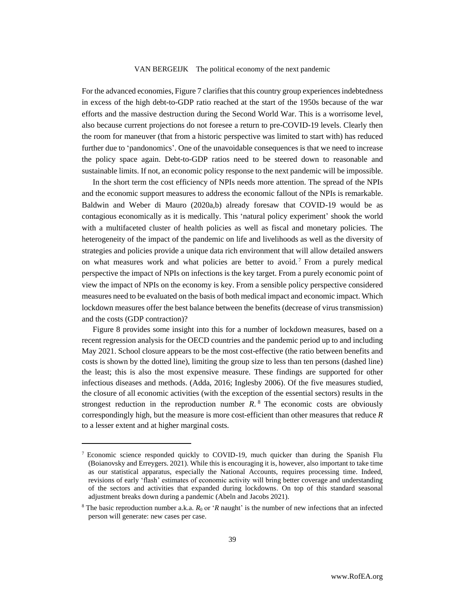For the advanced economies, Figure 7 clarifies that this country group experiencesindebtedness in excess of the high debt-to-GDP ratio reached at the start of the 1950s because of the war efforts and the massive destruction during the Second World War. This is a worrisome level, also because current projections do not foresee a return to pre-COVID-19 levels. Clearly then the room for maneuver (that from a historic perspective was limited to start with) has reduced further due to 'pandonomics'. One of the unavoidable consequences is that we need to increase the policy space again. Debt-to-GDP ratios need to be steered down to reasonable and sustainable limits. If not, an economic policy response to the next pandemic will be impossible.

In the short term the cost efficiency of NPIs needs more attention. The spread of the NPIs and the economic support measures to address the economic fallout of the NPIs is remarkable. Baldwin and Weber di Mauro (2020a,b) already foresaw that COVID-19 would be as contagious economically as it is medically. This 'natural policy experiment' shook the world with a multifaceted cluster of health policies as well as fiscal and monetary policies. The heterogeneity of the impact of the pandemic on life and livelihoods as well as the diversity of strategies and policies provide a unique data rich environment that will allow detailed answers on what measures work and what policies are better to avoid.<sup>7</sup> From a purely medical perspective the impact of NPIs on infections is the key target. From a purely economic point of view the impact of NPIs on the economy is key. From a sensible policy perspective considered measures need to be evaluated on the basis of both medical impact and economic impact. Which lockdown measures offer the best balance between the benefits (decrease of virus transmission) and the costs (GDP contraction)?

Figure 8 provides some insight into this for a number of lockdown measures, based on a recent regression analysis for the OECD countries and the pandemic period up to and including May 2021. School closure appears to be the most cost-effective (the ratio between benefits and costs is shown by the dotted line), limiting the group size to less than ten persons (dashed line) the least; this is also the most expensive measure. These findings are supported for other infectious diseases and methods. (Adda, 2016; Inglesby 2006). Of the five measures studied, the closure of all economic activities (with the exception of the essential sectors) results in the strongest reduction in the reproduction number  $R$ .<sup>8</sup> The economic costs are obviously correspondingly high, but the measure is more cost-efficient than other measures that reduce *R* to a lesser extent and at higher marginal costs.

<sup>7</sup> Economic science responded quickly to COVID-19, much quicker than during the Spanish Flu (Boianovsky and Erreygers. 2021). While this is encouraging it is, however, also important to take time as our statistical apparatus, especially the National Accounts, requires processing time. Indeed, revisions of early 'flash' estimates of economic activity will bring better coverage and understanding of the sectors and activities that expanded during lockdowns. On top of this standard seasonal adjustment breaks down during a pandemic (Abeln and Jacobs 2021).

<sup>&</sup>lt;sup>8</sup> The basic reproduction number a.k.a.  $R_0$  or '*R* naught' is the number of new infections that an infected person will generate: new cases per case.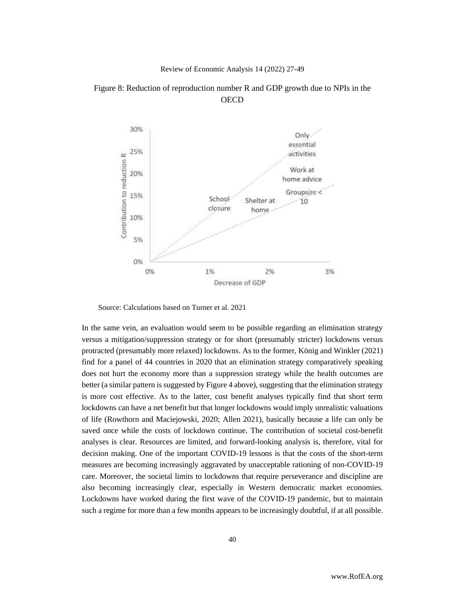

Figure 8: Reduction of reproduction number R and GDP growth due to NPIs in the **OECD** 

Source: Calculations based on Turner et al. 2021

In the same vein, an evaluation would seem to be possible regarding an elimination strategy versus a mitigation/suppression strategy or for short (presumably stricter) lockdowns versus protracted (presumably more relaxed) lockdowns. As to the former, König and Winkler (2021) find for a panel of 44 countries in 2020 that an elimination strategy comparatively speaking does not hurt the economy more than a suppression strategy while the health outcomes are better (a similar pattern is suggested by Figure 4 above), suggesting that the elimination strategy is more cost effective. As to the latter, cost benefit analyses typically find that short term lockdowns can have a net benefit but that longer lockdowns would imply unrealistic valuations of life (Rowthorn and Maciejowski, 2020; Allen 2021), basically because a life can only be saved once while the costs of lockdown continue. The contribution of societal cost-benefit analyses is clear. Resources are limited, and forward-looking analysis is, therefore, vital for decision making. One of the important COVID-19 lessons is that the costs of the short-term measures are becoming increasingly aggravated by unacceptable rationing of non-COVID-19 care. Moreover, the societal limits to lockdowns that require perseverance and discipline are also becoming increasingly clear, especially in Western democratic market economies. Lockdowns have worked during the first wave of the COVID-19 pandemic, but to maintain such a regime for more than a few months appears to be increasingly doubtful, if at all possible.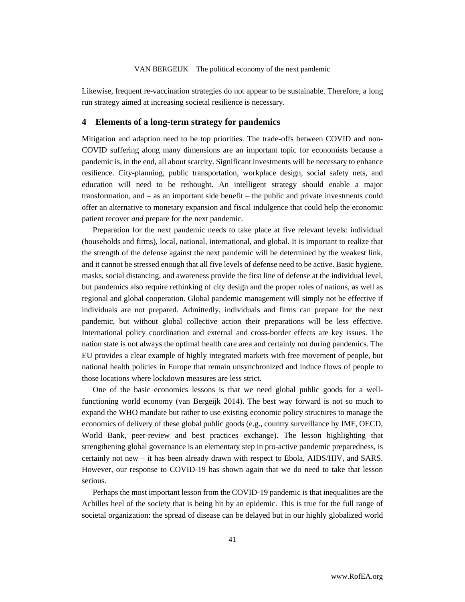Likewise, frequent re-vaccination strategies do not appear to be sustainable. Therefore, a long run strategy aimed at increasing societal resilience is necessary.

#### **4 Elements of a long-term strategy for pandemics**

Mitigation and adaption need to be top priorities. The trade-offs between COVID and non-COVID suffering along many dimensions are an important topic for economists because a pandemic is, in the end, all about scarcity. Significant investments will be necessary to enhance resilience. City-planning, public transportation, workplace design, social safety nets, and education will need to be rethought. An intelligent strategy should enable a major transformation, and – as an important side benefit – the public and private investments could offer an alternative to monetary expansion and fiscal indulgence that could help the economic patient recover *and* prepare for the next pandemic.

Preparation for the next pandemic needs to take place at five relevant levels: individual (households and firms), local, national, international, and global. It is important to realize that the strength of the defense against the next pandemic will be determined by the weakest link, and it cannot be stressed enough that all five levels of defense need to be active. Basic hygiene, masks, social distancing, and awareness provide the first line of defense at the individual level, but pandemics also require rethinking of city design and the proper roles of nations, as well as regional and global cooperation. Global pandemic management will simply not be effective if individuals are not prepared. Admittedly, individuals and firms can prepare for the next pandemic, but without global collective action their preparations will be less effective. International policy coordination and external and cross-border effects are key issues. The nation state is not always the optimal health care area and certainly not during pandemics. The EU provides a clear example of highly integrated markets with free movement of people, but national health policies in Europe that remain unsynchronized and induce flows of people to those locations where lockdown measures are less strict.

One of the basic economics lessons is that we need global public goods for a wellfunctioning world economy (van Bergeijk 2014). The best way forward is not so much to expand the WHO mandate but rather to use existing economic policy structures to manage the economics of delivery of these global public goods (e.g., country surveillance by IMF, OECD, World Bank, peer-review and best practices exchange). The lesson highlighting that strengthening global governance is an elementary step in pro-active pandemic preparedness, is certainly not new – it has been already drawn with respect to Ebola, AIDS/HIV, and SARS. However, our response to COVID-19 has shown again that we do need to take that lesson serious.

Perhaps the most important lesson from the COVID-19 pandemic is that inequalities are the Achilles heel of the society that is being hit by an epidemic. This is true for the full range of societal organization: the spread of disease can be delayed but in our highly globalized world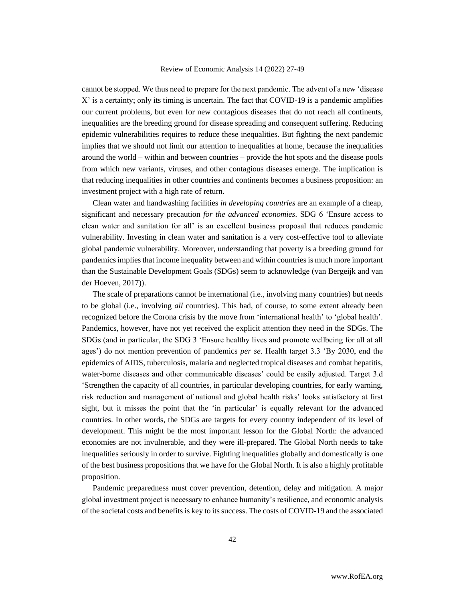cannot be stopped. We thus need to prepare for the next pandemic. The advent of a new 'disease X' is a certainty; only its timing is uncertain. The fact that COVID-19 is a pandemic amplifies our current problems, but even for new contagious diseases that do not reach all continents, inequalities are the breeding ground for disease spreading and consequent suffering. Reducing epidemic vulnerabilities requires to reduce these inequalities. But fighting the next pandemic implies that we should not limit our attention to inequalities at home, because the inequalities around the world – within and between countries – provide the hot spots and the disease pools from which new variants, viruses, and other contagious diseases emerge. The implication is that reducing inequalities in other countries and continents becomes a business proposition: an investment project with a high rate of return.

Clean water and handwashing facilities *in developing countries* are an example of a cheap, significant and necessary precaution *for the advanced economies*. SDG 6 'Ensure access to clean water and sanitation for all' is an excellent business proposal that reduces pandemic vulnerability. Investing in clean water and sanitation is a very cost-effective tool to alleviate global pandemic vulnerability. Moreover, understanding that poverty is a breeding ground for pandemics implies that income inequality between and within countries is much more important than the Sustainable Development Goals (SDGs) seem to acknowledge (van Bergeijk and van der Hoeven, 2017)).

The scale of preparations cannot be international (i.e., involving many countries) but needs to be global (i.e., involving *all* countries). This had, of course, to some extent already been recognized before the Corona crisis by the move from 'international health' to 'global health'. Pandemics, however, have not yet received the explicit attention they need in the SDGs. The SDGs (and in particular, the SDG 3 'Ensure healthy lives and promote wellbeing for all at all ages') do not mention prevention of pandemics *per se*. Health target 3.3 'By 2030, end the epidemics of AIDS, tuberculosis, malaria and neglected tropical diseases and combat hepatitis, water-borne diseases and other communicable diseases' could be easily adjusted. Target 3.d 'Strengthen the capacity of all countries, in particular developing countries, for early warning, risk reduction and management of national and global health risks' looks satisfactory at first sight, but it misses the point that the 'in particular' is equally relevant for the advanced countries. In other words, the SDGs are targets for every country independent of its level of development. This might be the most important lesson for the Global North: the advanced economies are not invulnerable, and they were ill-prepared. The Global North needs to take inequalities seriously in order to survive. Fighting inequalities globally and domestically is one of the best business propositions that we have for the Global North. It is also a highly profitable proposition.

Pandemic preparedness must cover prevention, detention, delay and mitigation. A major global investment project is necessary to enhance humanity's resilience, and economic analysis of the societal costs and benefits is key to its success. The costs of COVID-19 and the associated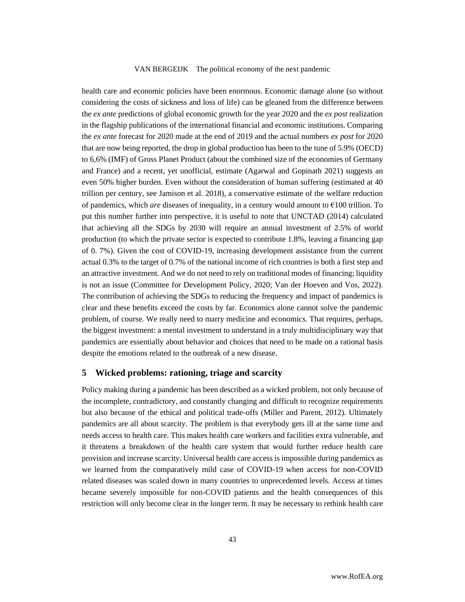health care and economic policies have been enormous. Economic damage alone (so without considering the costs of sickness and loss of life) can be gleaned from the difference between the *ex ante* predictions of global economic growth for the year 2020 and the *ex post* realization in the flagship publications of the international financial and economic institutions. Comparing the *ex ante* forecast for 2020 made at the end of 2019 and the actual numbers *ex post* for 2020 that are now being reported, the drop in global production has been to the tune of 5.9% (OECD) to 6,6% (IMF) of Gross Planet Product (about the combined size of the economies of Germany and France) and a recent, yet unofficial, estimate (Agarwal and Gopinath 2021) suggests an even 50% higher burden. Even without the consideration of human suffering (estimated at 40 trillion per century, see Jamison et al. 2018), a conservative estimate of the welfare reduction of pandemics, which *are* diseases of inequality, in a century would amount to  $\epsilon$ 100 trillion. To put this number further into perspective, it is useful to note that UNCTAD (2014) calculated that achieving all the SDGs by 2030 will require an annual investment of 2.5% of world production (to which the private sector is expected to contribute 1.8%, leaving a financing gap of 0. 7%). Given the cost of COVID-19, increasing development assistance from the current actual 0.3% to the target of 0.7% of the national income of rich countries is both a first step and an attractive investment. And we do not need to rely on traditional modes of financing; liquidity is not an issue (Committee for Development Policy, 2020; Van der Hoeven and Vos, 2022). The contribution of achieving the SDGs to reducing the frequency and impact of pandemics is clear and these benefits exceed the costs by far. Economics alone cannot solve the pandemic problem, of course. We really need to marry medicine and economics. That requires, perhaps, the biggest investment: a mental investment to understand in a truly multidisciplinary way that pandemics are essentially about behavior and choices that need to be made on a rational basis despite the emotions related to the outbreak of a new disease.

### **5 Wicked problems: rationing, triage and scarcity**

Policy making during a pandemic has been described as a wicked problem, not only because of the incomplete, contradictory, and constantly changing and difficult to recognize requirements but also because of the ethical and political trade-offs (Miller and Parent, 2012). Ultimately pandemics are all about scarcity. The problem is that everybody gets ill at the same time and needs access to health care. This makes health care workers and facilities extra vulnerable, and it threatens a breakdown of the health care system that would further reduce health care provision and increase scarcity. Universal health care access is impossible during pandemics as we learned from the comparatively mild case of COVID-19 when access for non-COVID related diseases was scaled down in many countries to unprecedented levels. Access at times became severely impossible for non-COVID patients and the health consequences of this restriction will only become clear in the longer term. It may be necessary to rethink health care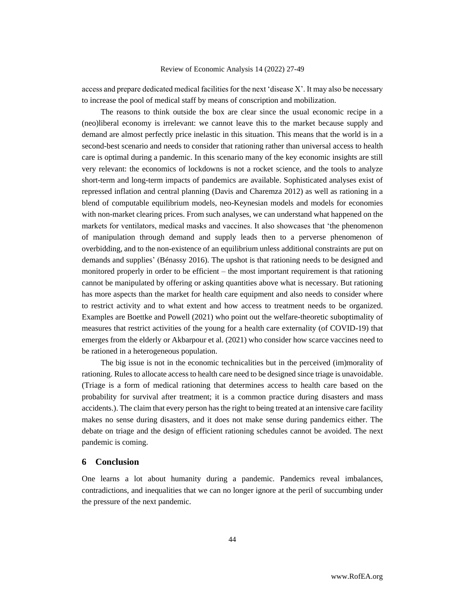access and prepare dedicated medical facilities for the next 'disease X'. It may also be necessary to increase the pool of medical staff by means of conscription and mobilization.

 The reasons to think outside the box are clear since the usual economic recipe in a (neo)liberal economy is irrelevant: we cannot leave this to the market because supply and demand are almost perfectly price inelastic in this situation. This means that the world is in a second-best scenario and needs to consider that rationing rather than universal access to health care is optimal during a pandemic. In this scenario many of the key economic insights are still very relevant: the economics of lockdowns is not a rocket science, and the tools to analyze short-term and long-term impacts of pandemics are available. Sophisticated analyses exist of repressed inflation and central planning (Davis and Charemza 2012) as well as rationing in a blend of computable equilibrium models, neo-Keynesian models and models for economies with non-market clearing prices. From such analyses, we can understand what happened on the markets for ventilators, medical masks and vaccines. It also showcases that 'the phenomenon of manipulation through demand and supply leads then to a perverse phenomenon of overbidding, and to the non-existence of an equilibrium unless additional constraints are put on demands and supplies' (Bénassy 2016). The upshot is that rationing needs to be designed and monitored properly in order to be efficient – the most important requirement is that rationing cannot be manipulated by offering or asking quantities above what is necessary. But rationing has more aspects than the market for health care equipment and also needs to consider where to restrict activity and to what extent and how access to treatment needs to be organized. Examples are Boettke and Powell (2021) who point out the welfare-theoretic suboptimality of measures that restrict activities of the young for a health care externality (of COVID-19) that emerges from the elderly or Akbarpour et al. (2021) who consider how scarce vaccines need to be rationed in a heterogeneous population.

 The big issue is not in the economic technicalities but in the perceived (im)morality of rationing. Rules to allocate access to health care need to be designed since triage is unavoidable. (Triage is a form of medical rationing that determines access to health care based on the probability for survival after treatment; it is a common practice during disasters and mass accidents.). The claim that every person has the right to being treated at an intensive care facility makes no sense during disasters, and it does not make sense during pandemics either. The debate on triage and the design of efficient rationing schedules cannot be avoided. The next pandemic is coming.

### **6 Conclusion**

One learns a lot about humanity during a pandemic. Pandemics reveal imbalances, contradictions, and inequalities that we can no longer ignore at the peril of succumbing under the pressure of the next pandemic.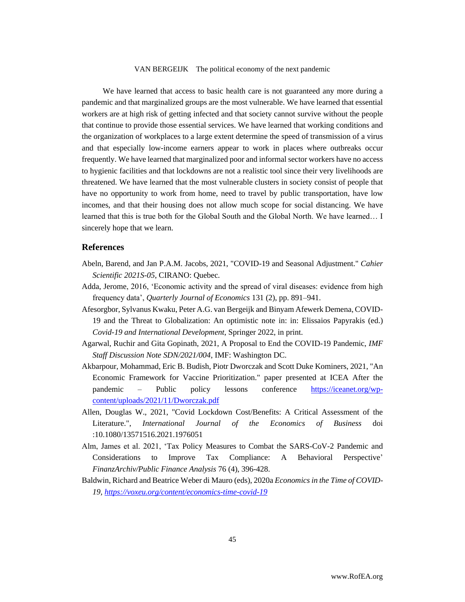We have learned that access to basic health care is not guaranteed any more during a pandemic and that marginalized groups are the most vulnerable. We have learned that essential workers are at high risk of getting infected and that society cannot survive without the people that continue to provide those essential services. We have learned that working conditions and the organization of workplaces to a large extent determine the speed of transmission of a virus and that especially low-income earners appear to work in places where outbreaks occur frequently. We have learned that marginalized poor and informal sector workers have no access to hygienic facilities and that lockdowns are not a realistic tool since their very livelihoods are threatened. We have learned that the most vulnerable clusters in society consist of people that have no opportunity to work from home, need to travel by public transportation, have low incomes, and that their housing does not allow much scope for social distancing. We have learned that this is true both for the Global South and the Global North. We have learned… I sincerely hope that we learn.

### **References**

- Abeln, Barend, and Jan P.A.M. Jacobs, 2021, "COVID-19 and Seasonal Adjustment." *Cahier Scientific 2021S-05*, CIRANO: Quebec.
- Adda, Jerome, 2016, 'Economic activity and the spread of viral diseases: evidence from high frequency data', *Quarterly Journal of Economics* 131 (2), pp. 891–941.
- Afesorgbor, Sylvanus Kwaku, Peter A.G. van Bergeijk and Binyam Afewerk Demena, COVID-19 and the Threat to Globalization: An optimistic note in: in: Elissaios Papyrakis (ed.) *Covid-19 and International Development*, Springer 2022, in print.
- Agarwal, Ruchir and Gita Gopinath, 2021, A Proposal to End the COVID-19 Pandemic, *IMF Staff Discussion Note SDN/2021/004*, IMF: Washington DC.
- Akbarpour, Mohammad, Eric B. Budish, Piotr Dworczak and Scott Duke Kominers, 2021, "An Economic Framework for Vaccine Prioritization." paper presented at ICEA After the pandemic – Public policy lessons conference [https://iceanet.org/wp](https://iceanet.org/wp-content/uploads/2021/11/Dworczak.pdf)[content/uploads/2021/11/Dworczak.pdf](https://iceanet.org/wp-content/uploads/2021/11/Dworczak.pdf)
- Allen, Douglas W., 2021, "Covid Lockdown Cost/Benefits: A Critical Assessment of the Literature.", *International Journal of the Economics of Business* doi :10.1080/13571516.2021.1976051
- Alm, James et al. 2021, 'Tax Policy Measures to Combat the SARS-CoV-2 Pandemic and Considerations to Improve Tax Compliance: A Behavioral Perspective' *FinanzArchiv/Public Finance Analysis* 76 (4), 396-428.
- Baldwin, Richard and Beatrice Weber di Mauro (eds), 2020a *Economics in the Time of COVID-19[, https://voxeu.org/content/economics-time-covid-19](https://voxeu.org/content/economics-time-covid-19)*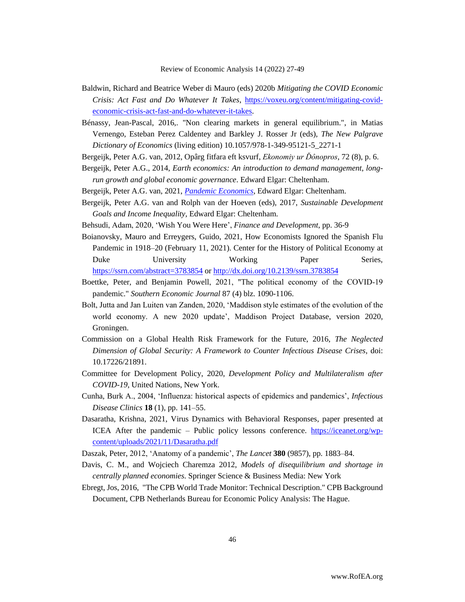- Baldwin, Richard and Beatrice Weber di Mauro (eds) 2020b *Mitigating the COVID Economic Crisis: Act Fast and Do Whatever It Takes*, [https://voxeu.org/content/mitigating-covid](https://voxeu.org/content/mitigating-covid-economic-crisis-act-fast-and-do-whatever-it-takes)[economic-crisis-act-fast-and-do-whatever-it-takes.](https://voxeu.org/content/mitigating-covid-economic-crisis-act-fast-and-do-whatever-it-takes)
- Bénassy, Jean-Pascal, 2016,. "Non clearing markets in general equilibrium.", in Matias Vernengo, Esteban Perez Caldentey and Barkley J. Rosser Jr (eds), *The New Palgrave Dictionary of Economics* (living edition) 10.1057/978-1-349-95121-5\_2271-1
- Bergeijk, Peter A.G. van, 2012, Opârg fitfara eft ksvurf, *Ekonomiy ur Ďônopros*, 72 (8), p. 6.
- Bergeijk, Peter A.G., 2014, *Earth economics: An introduction to demand management, longrun growth and global economic governance*. Edward Elgar: Cheltenham.
- Bergeijk, Peter A.G. van, 2021, *[Pandemic Economics](https://www.e-elgar.com/shop/gbp/pandemic-economics-9781800379961.html)*, Edward Elgar: Cheltenham.
- Bergeijk, Peter A.G. van and Rolph van der Hoeven (eds), 2017, *Sustainable Development Goals and Income Inequality,* Edward Elgar: Cheltenham.
- Behsudi, Adam, 2020, 'Wish You Were Here', *Finance and Development*, pp. 36-9
- Boianovsky, Mauro and Erreygers, Guido, 2021, How Economists Ignored the Spanish Flu Pandemic in 1918–20 (February 11, 2021). Center for the History of Political Economy at Duke University Working Paper Series, <https://ssrn.com/abstract=3783854> or [http://dx.doi.org/10.2139/ssrn.3783854](https://dx.doi.org/10.2139/ssrn.3783854)
- Boettke, Peter, and Benjamin Powell, 2021, "The political economy of the COVID‐19 pandemic." *Southern Economic Journal* 87 (4) blz. 1090-1106.
- Bolt, Jutta and Jan Luiten van Zanden, 2020, 'Maddison style estimates of the evolution of the world economy. A new 2020 update', Maddison Project Database, version 2020, Groningen.
- Commission on a Global Health Risk Framework for the Future, 2016, *The Neglected Dimension of Global Security: A Framework to Counter Infectious Disease Crises*, doi: 10.17226/21891.
- Committee for Development Policy, 2020, *Development Policy and Multilateralism after COVID-19*, United Nations, New York.
- Cunha, Burk A., 2004, 'Influenza: historical aspects of epidemics and pandemics', *Infectious Disease Clinics* **18** (1), pp. 141–55.
- Dasaratha, Krishna, 2021, Virus Dynamics with Behavioral Responses, paper presented at ICEA After the pandemic – Public policy lessons conference. [https://iceanet.org/wp](https://iceanet.org/wp-content/uploads/2021/11/Dasaratha.pdf)[content/uploads/2021/11/Dasaratha.pdf](https://iceanet.org/wp-content/uploads/2021/11/Dasaratha.pdf)
- Daszak, Peter, 2012, 'Anatomy of a pandemic', *The Lancet* **380** (9857), pp. 1883–84.
- Davis, C. M., and Wojciech Charemza 2012, *Models of disequilibrium and shortage in centrally planned economies*. Springer Science & Business Media: New York
- Ebregt, Jos, 2016, "The CPB World Trade Monitor: Technical Description." CPB Background Document, CPB Netherlands Bureau for Economic Policy Analysis: The Hague.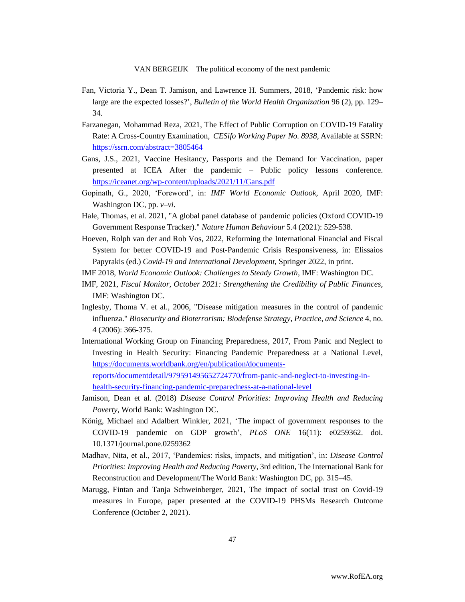- Fan, Victoria Y., Dean T. Jamison, and Lawrence H. Summers, 2018, 'Pandemic risk: how large are the expected losses?', *Bulletin of the World Health Organization* 96 (2), pp. 129– 34.
- Farzanegan, Mohammad Reza, 2021, The Effect of Public Corruption on COVID-19 Fatality Rate: A Cross-Country Examination, *CESifo Working Paper No. 8938*, Available at SSRN: <https://ssrn.com/abstract=3805464>
- Gans, J.S., 2021, Vaccine Hesitancy, Passports and the Demand for Vaccination, paper presented at ICEA After the pandemic – Public policy lessons conference. <https://iceanet.org/wp-content/uploads/2021/11/Gans.pdf>
- Gopinath, G., 2020, 'Foreword', in: *IMF World Economic Outlook*, April 2020, IMF: Washington DC, pp. *v–vi*.
- Hale, Thomas, et al. 2021, "A global panel database of pandemic policies (Oxford COVID-19 Government Response Tracker)." *Nature Human Behaviour* 5.4 (2021): 529-538.
- Hoeven, Rolph van der and Rob Vos, 2022, Reforming the International Financial and Fiscal System for better COVID-19 and Post-Pandemic Crisis Responsiveness, in: Elissaios Papyrakis (ed.) *Covid-19 and International Development*, Springer 2022, in print.
- IMF 2018, *World Economic Outlook: Challenges to Steady Growth*, IMF: Washington DC.
- IMF, 2021, *Fiscal Monitor, October 2021: Strengthening the Credibility of Public Finances*, IMF: Washington DC.
- Inglesby, Thoma V. et al., 2006, "Disease mitigation measures in the control of pandemic influenza." *Biosecurity and Bioterrorism: Biodefense Strategy, Practice, and Science* 4, no. 4 (2006): 366-375.
- International Working Group on Financing Preparedness, 2017, From Panic and Neglect to Investing in Health Security: Financing Pandemic Preparedness at a National Level, [https://documents.worldbank.org/en/publication/documents](https://documents.worldbank.org/en/publication/documents-reports/documentdetail/979591495652724770/from-panic-and-neglect-to-investing-in-health-security-financing-pandemic-preparedness-at-a-national-level)[reports/documentdetail/979591495652724770/from-panic-and-neglect-to-investing-in](https://documents.worldbank.org/en/publication/documents-reports/documentdetail/979591495652724770/from-panic-and-neglect-to-investing-in-health-security-financing-pandemic-preparedness-at-a-national-level)[health-security-financing-pandemic-preparedness-at-a-national-level](https://documents.worldbank.org/en/publication/documents-reports/documentdetail/979591495652724770/from-panic-and-neglect-to-investing-in-health-security-financing-pandemic-preparedness-at-a-national-level)
- Jamison, Dean et al. (2018) *Disease Control Priorities: Improving Health and Reducing Poverty*, World Bank: Washington DC.
- König, Michael and Adalbert Winkler, 2021, 'The impact of government responses to the COVID-19 pandemic on GDP growth', *PLoS ONE* 16(11): e0259362. doi. 10.1371/journal.pone.0259362
- Madhav, Nita, et al., 2017, 'Pandemics: risks, impacts, and mitigation', in: *Disease Control Priorities: Improving Health and Reducing Poverty*, 3rd edition, The International Bank for Reconstruction and Development/The World Bank: Washington DC, pp. 315–45.
- Marugg, Fintan and Tanja Schweinberger, 2021, The impact of social trust on Covid-19 measures in Europe, paper presented at the COVID-19 PHSMs Research Outcome Conference (October 2, 2021).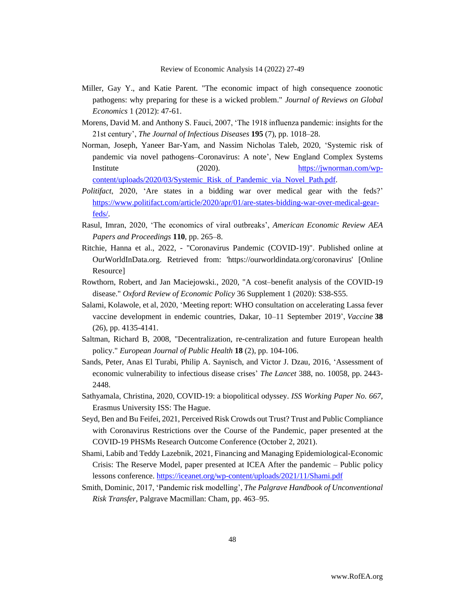- Miller, Gay Y., and Katie Parent. "The economic impact of high consequence zoonotic pathogens: why preparing for these is a wicked problem." *Journal of Reviews on Global Economics* 1 (2012): 47-61.
- Morens, David M. and Anthony S. Fauci, 2007, 'The 1918 influenza pandemic: insights for the 21st century', *The Journal of Infectious Diseases* **195** (7), pp. 1018–28.
- Norman, Joseph, Yaneer Bar-Yam, and Nassim Nicholas Taleb, 2020, 'Systemic risk of pandemic via novel pathogens–Coronavirus: A note', New England Complex Systems Institute (2020). [https://jwnorman.com/wp](https://jwnorman.com/wp-content/uploads/2020/03/Systemic_Risk_of_Pandemic_via_Novel_Path.pdf)[content/uploads/2020/03/Systemic\\_Risk\\_of\\_Pandemic\\_via\\_Novel\\_Path.pdf.](https://jwnorman.com/wp-content/uploads/2020/03/Systemic_Risk_of_Pandemic_via_Novel_Path.pdf)
- *Politifact*, 2020, 'Are states in a bidding war over medical gear with the feds?' [https://www.politifact.com/article/2020/apr/01/are-states-bidding-war-over-medical-gear](https://www.politifact.com/article/2020/apr/01/are-states-bidding-war-over-medical-gear-feds/)[feds/.](https://www.politifact.com/article/2020/apr/01/are-states-bidding-war-over-medical-gear-feds/)
- Rasul, Imran, 2020, 'The economics of viral outbreaks', *American Economic Review AEA Papers and Proceedings* **110**, pp. 265–8.
- Ritchie, Hanna et al., 2022, "Coronavirus Pandemic (COVID-19)". Published online at OurWorldInData.org. Retrieved from: 'https://ourworldindata.org/coronavirus' [Online Resource]
- Rowthorn, Robert, and Jan Maciejowski., 2020, "A cost–benefit analysis of the COVID-19 disease." *Oxford Review of Economic Policy* 36 Supplement 1 (2020): S38-S55.
- Salami, Kolawole, et al, 2020, 'Meeting report: WHO consultation on accelerating Lassa fever vaccine development in endemic countries, Dakar, 10–11 September 2019', *Vaccine* **38** (26), pp. 4135-4141.
- Saltman, Richard B, 2008, "Decentralization, re-centralization and future European health policy." *European Journal of Public Health* **18** (2), pp. 104-106.
- Sands, Peter, Anas El Turabi, Philip A. Saynisch, and Victor J. Dzau, 2016, 'Assessment of economic vulnerability to infectious disease crises' *The Lancet* 388, no. 10058, pp. 2443- 2448.
- Sathyamala, Christina, 2020, COVID-19: a biopolitical odyssey. *ISS Working Paper No. 667*, Erasmus University ISS: The Hague.
- Seyd, Ben and Bu Feifei, 2021, Perceived Risk Crowds out Trust? Trust and Public Compliance with Coronavirus Restrictions over the Course of the Pandemic, paper presented at the COVID-19 PHSMs Research Outcome Conference (October 2, 2021).
- Shami, Labib and Teddy Lazebnik, 2021, Financing and Managing Epidemiological-Economic Crisis: The Reserve Model, paper presented at ICEA After the pandemic – Public policy lessons conference.<https://iceanet.org/wp-content/uploads/2021/11/Shami.pdf>
- Smith, Dominic, 2017, 'Pandemic risk modelling', *The Palgrave Handbook of Unconventional Risk Transfer*, Palgrave Macmillan: Cham, pp. 463–95.